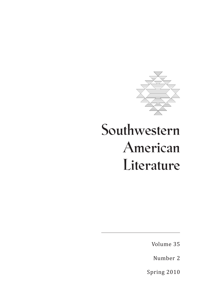

# **Southwestern American Literature**

Volume 35

Number 2

Spring 2010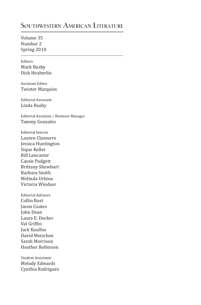## **Southwestern American Literature**

Volume 35 Number 2 Spring 2010

Editors Mark Busby Dick Heaberlin

Assistant Editor Twister Marquiss

Editorial Associate Linda Busby

Editorial Assistant / Business Manager Tammy Gonzales

Editorial Interns Lauren Clamurro Jessica Huntington Sique Keller Bill Lancaster Cassie Padgett Brittany Shewbart Barbara Smith Melinda Urbina Victoria Windsor

Editorial Advisors Collin Bost Jason Coates John Dean Laura E. Decker Val Griffin Jack Kaulfus David Meischen Sarah Morrison Heather Robinson

Student Assistants Melody Edwards Cynthia Rodriguez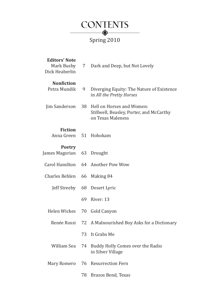

# Spring 2010

| <b>Editors' Note</b><br>Mark Busby<br>Dick Heaberlin | 7  | Dark and Deep, but Not Lovely                                                              |
|------------------------------------------------------|----|--------------------------------------------------------------------------------------------|
| <b>Nonfiction</b><br>Petra Mundik                    | 9  | Diverging Equity: The Nature of Existence<br>in All the Pretty Horses                      |
| Jim Sanderson                                        | 38 | Hell on Horses and Women:<br>Stillwell, Beasley, Porter, and McCarthy<br>on Texas Maleness |
| <b>Fiction</b><br>Anna Green                         | 51 | Hohokam                                                                                    |
| <b>Poetry</b><br>James Magorian                      | 63 | Drought                                                                                    |
| Carol Hamilton                                       | 64 | Another Pow Wow                                                                            |
| <b>Charles Behlen</b>                                | 66 | Making 84                                                                                  |
| Jeff Streeby                                         | 68 | Desert Lyric                                                                               |
|                                                      | 69 | River: 13                                                                                  |
| Helen Wickes                                         | 70 | Gold Canyon                                                                                |
| Renée Rossi                                          | 72 | A Malnourished Boy Asks for a Dictionary                                                   |
|                                                      | 73 | It Grabs Me                                                                                |
| William Sea                                          | 74 | Buddy Holly Comes over the Radio<br>in Silver Village                                      |
| Mary Romero                                          | 76 | <b>Resurrection Fern</b>                                                                   |
|                                                      | 78 | Brazos Bend, Texas                                                                         |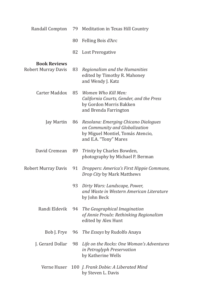| Randall Compton                            | 79 | Meditation in Texas Hill Country                                                                                                     |
|--------------------------------------------|----|--------------------------------------------------------------------------------------------------------------------------------------|
|                                            | 80 | Felling Bois d'Arc                                                                                                                   |
|                                            | 82 | Lost Prerogative                                                                                                                     |
| <b>Book Reviews</b><br>Robert Murray Davis | 83 | Regionalism and the Humanities<br>edited by Timothy R. Mahoney<br>and Wendy J. Katz                                                  |
| Carter Maddox                              | 85 | Women Who Kill Men:<br>California Courts, Gender, and the Press<br>by Gordon Morris Bakken<br>and Brenda Farrington                  |
| Jay Martin                                 | 86 | Resolana: Emerging Chicano Dialogues<br>on Community and Globalization<br>by Miguel Montiel, Tomás Atencio,<br>and E.A. "Tony" Mares |
| David Cremean                              | 89 | Trinity by Charles Bowden,<br>photography by Michael P. Berman                                                                       |
| <b>Robert Murray Davis</b>                 | 91 | Droppers: America's First Hippie Commune,<br>Drop City by Mark Matthews                                                              |
|                                            | 93 | Dirty Wars: Landscape, Power,<br>and Waste in Western American Literature<br>by John Beck                                            |
| Randi Eldevik                              | 94 | The Geographical Imagination<br>of Annie Proulx: Rethinking Regionalism<br>edited by Alex Hunt                                       |
| Bob J. Frye                                | 96 | The Essays by Rudolfo Anaya                                                                                                          |
| J. Gerard Dollar                           | 98 | Life on the Rocks: One Woman's Adventures<br>in Petroglyph Preservation<br>by Katherine Wells                                        |
| Verne Huser                                |    | 100 J. Frank Dobie: A Liberated Mind<br>by Steven L. Davis                                                                           |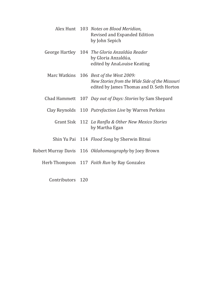|  | Alex Hunt 103 Notes on Blood Meridian,<br>Revised and Expanded Edition<br>by John Sepich                                                      |
|--|-----------------------------------------------------------------------------------------------------------------------------------------------|
|  | George Hartley 104 The Gloria Anzaldúa Reader<br>by Gloria Anzaldúa,<br>edited by AnaLouise Keating                                           |
|  | Marc Watkins 106 <i>Best of the West 2009:</i><br>New Stories from the Wide Side of the Missouri<br>edited by James Thomas and D. Seth Horton |
|  | Chad Hammett 107 <i>Day out of Days: Stories</i> by Sam Shepard                                                                               |
|  | Clay Reynolds 110 Putrefaction Live by Warren Perkins                                                                                         |
|  | Grant Sisk 112 La Ranfla & Other New Mexico Stories<br>by Martha Egan                                                                         |
|  | Shin Yu Pai 114 Flood Song by Sherwin Bitsui                                                                                                  |
|  | Robert Murray Davis 116 Oklahomaography by Joey Brown                                                                                         |
|  | Herb Thompson 117 Faith Run by Ray Gonzalez                                                                                                   |

Contributors 120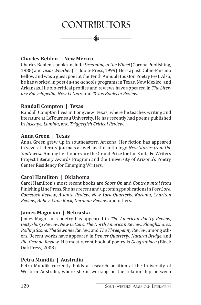# **Contributors**

#### **Charles Behlen | New Mexico**

Charles Behlen's books include *Dreaming at the Wheel* (Corona Publishing, 1988) and *Texas Weather* (Trilobite Press, 1999). He is a past Dobie-Paisano Fellow and was a guest poet at the Tenth Annual Houston Poetry Fest. Also, he has worked in poet-in-the-schools programs in Texas, New Mexico, and Arkansas. His bio-critical profiles and reviews have appeared in *The Literary Encyclopedia*, *New Letters*, and *Texas Books in Review*.

#### **Randall Compton | Texas**

Randall Compton lives in Longview, Texas, where he teaches writing and literature at LeTourneau University. He has recently had poems published in *Inscape, Lumina*, and *Triggerfish Critical Review*.

#### **Anna Green | Texas**

Anna Green grew up in southeastern Arizona. Her fiction has appeared in several literary journals as well as the anthology *New Stories from the Southwest*. Among her honors are the Grand Prize for the Santa Fe Writers Project Literary Awards Program and the University of Arizona's Poetry Center Residency for Emerging Writers.

#### **Carol Hamilton | Oklahoma**

Carol Hamilton's most recent books are *Shots On* and *Contrapuntal* from Finishing Line Press. She has recent and upcoming publications in *Poet Lore*, *Comstock Review*, *Atlanta Review*, *New York Quarterly*, *Karamu*, *Chariton Review*, *Abbey*, *Cape Rock*, *Deronda Review,* and others.

#### **James Magorian | Nebraska**

James Magorian's poetry has appeared in *The American Poetry Review*, *Gettysburg Review, New Letters, The North American Review, Ploughshares, Rolling Stone, The Sewanee Review,* and *The Threepenny Review*, among others. Recent works have appeared in *Denver Quarterly*, *Natural Bridge,* and *Rio Grande Review*. His most recent book of poetry is *Geographica* (Black Oak Press, 2008).

#### **Petra Mundik | Australia**

Petra Mundik currently holds a research position at the University of Western Australia, where she is working on the relationship between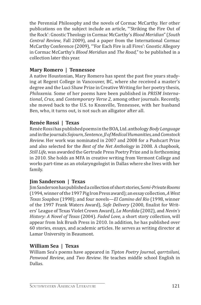the Perennial Philosophy and the novels of Cormac McCarthy. Her other publications on the subject include an article, "'Striking the Fire Out of the Rock': Gnostic Theology in Cormac McCarthy's *Blood Meridian*" (*South Central Review*, Fall 2009), and a paper from the International Cormac McCarthy Conference (2009), "'For Each Fire is all Fires': Gnostic Allegory in Cormac McCarthy's *Blood Meridian* and *The Road,*" to be published in a collection later this year.

## **Mary Romero | Tennessee**

A native Houstonian, Mary Romero has spent the past five years studying at Regent College in Vancouver, BC, where she received a master's degree and the Luci Shaw Prize in Creative Writing for her poetry thesis, *Philoxenia.* Some of her poems have been published in *PRISM International*, *Crux,* and *Contemporary Verse 2*, among other journals. Recently, she moved back to the U.S. to Knoxville, Tennessee, with her husband Ben, who, it turns out, is not such an alligator after all.

### **Renée Rossi | Texas**

Renée Rossi has published poems in the BOA, Ltd. anthology *Body Language* and in the journals *Sojourn*, *Sentence, Jl of Medical Humanities,* and *Comstock Review.* Her work was nominated in 2007 and 2008 for a Pushcart Prize and also selected for the *Best of the Net Anthology* in 2008. A chapbook*, Still Life,* was awarded the Gertrude Press Poetry Prize and is forthcoming in 2010. She holds an MFA in creative writing from Vermont College and works part-time as an otolaryngologist in Dallas where she lives with her family.

#### **Jim Sanderson | Texas**

Jim Sanderson has published a collection of short stories, S*emi-Private Rooms* (1994, winner of the 1997 Pig Iron Press award); an essay collection, *A West Texas Soapbox* (1998); and four novels*—El Camino del Rio* (1998, winner of the 1997 Frank Waters Award), *Safe Delivery* (2000, finalist for Writers' League of Texas Violet Crown Award), *La Mordida* (2002), and *Nevin's History: A Novel of Texas* (2004). *Faded Love*, a short story collection, will appear from Ink Brush Press in 2010. In addition, he has published over 60 stories, essays, and academic articles. He serves as writing director at Lamar University in Beaumont.

#### **William Sea | Texas**

William Sea's poems have appeared in *Tipton Poetry Journal*, *qarrtsiluni, Penwood Review*, and *Two Review*. He teaches middle school English in Dallas.